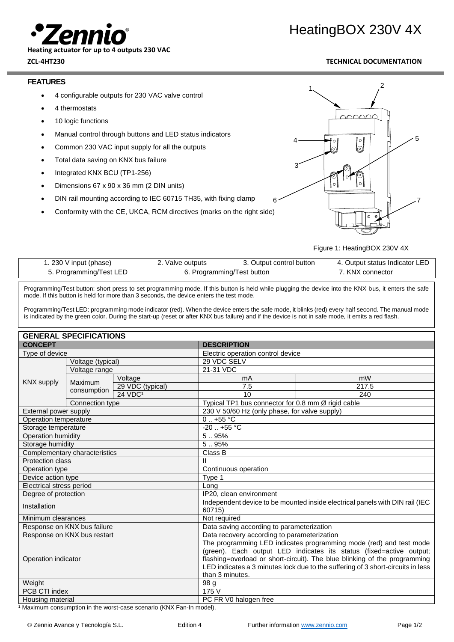

### **Heating actuator for up to 4 outputs 230 VAC**

# HeatingBOX 230V 4X

**ZCL-4HT230 TECHNICAL DOCUMENTATION**

### **FEATURES**

- 4 configurable outputs for 230 VAC valve control
- 4 thermostats
- 10 logic functions
- Manual control through buttons and LED status indicators
- Common 230 VAC input supply for all the outputs
- Total data saving on KNX bus failure
- Integrated KNX BCU (TP1-256)
- Dimensions 67 x 90 x 36 mm (2 DIN units)
- DIN rail mounting according to IEC 60715 TH35, with fixing clamp
- Conformity with the CE, UKCA, RCM directives (marks on the right side)



Figure 1: HeatingBOX 230V 4X

| 1. 230 V input (phase)  | 2. Valve outputs           | 3. Output control button | 4. Output status Indicator LED |
|-------------------------|----------------------------|--------------------------|--------------------------------|
| 5. Programming/Test LED | 6. Programming/Test button |                          | 7. KNX connector               |

6

Programming/Test button: short press to set programming mode. If this button is held while plugging the device into the KNX bus, it enters the safe mode. If this button is held for more than 3 seconds, the device enters the test mode.

Programming/Test LED: programming mode indicator (red). When the device enters the safe mode, it blinks (red) every half second. The manual mode is indicated by the green color. During the start-up (reset or after KNX bus failure) and if the device is not in safe mode, it emits a red flash.

| <b>GENERAL SPECIFICATIONS</b>                                       |                             |                                                                                                                                                                                                                                                                                                                              |                                                    |                                               |  |  |
|---------------------------------------------------------------------|-----------------------------|------------------------------------------------------------------------------------------------------------------------------------------------------------------------------------------------------------------------------------------------------------------------------------------------------------------------------|----------------------------------------------------|-----------------------------------------------|--|--|
| <b>CONCEPT</b>                                                      |                             | <b>DESCRIPTION</b>                                                                                                                                                                                                                                                                                                           |                                                    |                                               |  |  |
| Type of device                                                      |                             | Electric operation control device                                                                                                                                                                                                                                                                                            |                                                    |                                               |  |  |
| Voltage (typical)                                                   |                             |                                                                                                                                                                                                                                                                                                                              | 29 VDC SELV                                        |                                               |  |  |
| Voltage range<br><b>KNX supply</b><br><b>Maximum</b><br>consumption |                             | 21-31 VDC                                                                                                                                                                                                                                                                                                                    |                                                    |                                               |  |  |
|                                                                     |                             | Voltage                                                                                                                                                                                                                                                                                                                      | mA                                                 | mW                                            |  |  |
|                                                                     |                             | 29 VDC (typical)                                                                                                                                                                                                                                                                                                             | 7.5                                                | 217.5                                         |  |  |
|                                                                     |                             | 24 VDC <sup>1</sup>                                                                                                                                                                                                                                                                                                          | 10                                                 | 240                                           |  |  |
|                                                                     | Connection type             |                                                                                                                                                                                                                                                                                                                              | Typical TP1 bus connector for 0.8 mm Ø rigid cable |                                               |  |  |
| External power supply                                               |                             |                                                                                                                                                                                                                                                                                                                              |                                                    | 230 V 50/60 Hz (only phase, for valve supply) |  |  |
| Operation temperature                                               |                             |                                                                                                                                                                                                                                                                                                                              | $0.1 + 55$ °C                                      |                                               |  |  |
| Storage temperature                                                 |                             |                                                                                                                                                                                                                                                                                                                              | $-20.1 + 55$ °C                                    |                                               |  |  |
| Operation humidity                                                  |                             |                                                                                                                                                                                                                                                                                                                              | 5.95%                                              |                                               |  |  |
| Storage humidity                                                    |                             | 5.95%                                                                                                                                                                                                                                                                                                                        |                                                    |                                               |  |  |
| Complementary characteristics                                       |                             | Class B                                                                                                                                                                                                                                                                                                                      |                                                    |                                               |  |  |
| Protection class                                                    |                             |                                                                                                                                                                                                                                                                                                                              |                                                    |                                               |  |  |
| Operation type                                                      |                             | Continuous operation                                                                                                                                                                                                                                                                                                         |                                                    |                                               |  |  |
| Device action type                                                  |                             | Type 1                                                                                                                                                                                                                                                                                                                       |                                                    |                                               |  |  |
| Electrical stress period                                            |                             | Long                                                                                                                                                                                                                                                                                                                         |                                                    |                                               |  |  |
| Degree of protection                                                |                             | IP20, clean environment                                                                                                                                                                                                                                                                                                      |                                                    |                                               |  |  |
| Installation                                                        |                             | Independent device to be mounted inside electrical panels with DIN rail (IEC<br>60715)                                                                                                                                                                                                                                       |                                                    |                                               |  |  |
| Minimum clearances                                                  |                             | Not required                                                                                                                                                                                                                                                                                                                 |                                                    |                                               |  |  |
| Response on KNX bus failure                                         |                             | Data saving according to parameterization                                                                                                                                                                                                                                                                                    |                                                    |                                               |  |  |
|                                                                     | Response on KNX bus restart |                                                                                                                                                                                                                                                                                                                              | Data recovery according to parameterization        |                                               |  |  |
| Operation indicator                                                 |                             | The programming LED indicates programming mode (red) and test mode<br>(green). Each output LED indicates its status (fixed=active output;<br>flashing=overload or short-circuit). The blue blinking of the programming<br>LED indicates a 3 minutes lock due to the suffering of 3 short-circuits in less<br>than 3 minutes. |                                                    |                                               |  |  |
| Weight                                                              |                             | 98 g                                                                                                                                                                                                                                                                                                                         |                                                    |                                               |  |  |
| PCB CTI index                                                       |                             | 175 V                                                                                                                                                                                                                                                                                                                        |                                                    |                                               |  |  |
| Housing material                                                    |                             | PC FR V0 halogen free                                                                                                                                                                                                                                                                                                        |                                                    |                                               |  |  |

<sup>1</sup> Maximum consumption in the worst-case scenario (KNX Fan-In model).